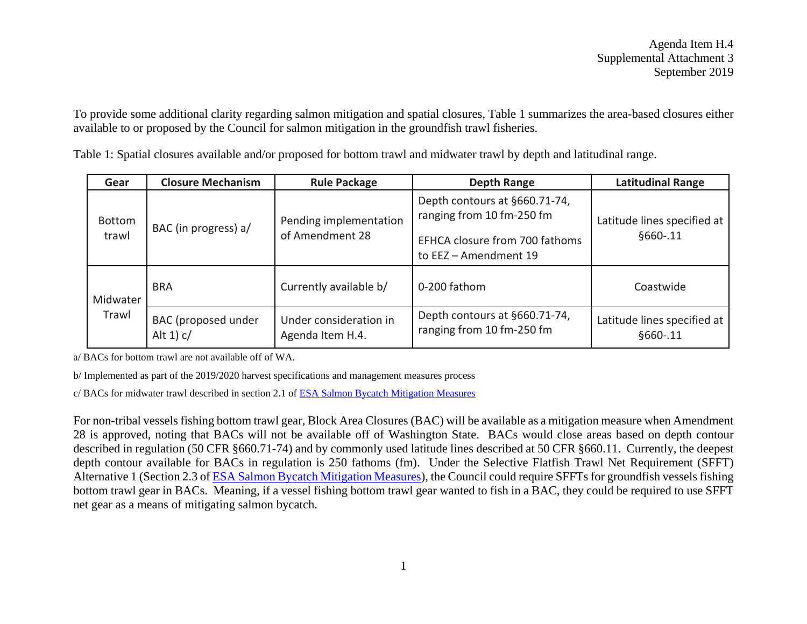To provide some additional clarity regarding salmon mitigation and spatial closures, Table 1 summarizes the area-based closures either available to or proposed by the Council for salmon mitigation in the groundfish trawl fisheries.

|  | Gear                   | <b>Closure Mechanism</b>              | <b>Rule Package</b>                        | <b>Depth Range</b>                                                                                                    | <b>Latitudinal Range</b>                |
|--|------------------------|---------------------------------------|--------------------------------------------|-----------------------------------------------------------------------------------------------------------------------|-----------------------------------------|
|  | <b>Bottom</b><br>trawl | BAC (in progress) a/                  | Pending implementation<br>of Amendment 28  | Depth contours at §660.71-74,<br>ranging from 10 fm-250 fm<br>EFHCA closure from 700 fathoms<br>to EEZ - Amendment 19 | Latitude lines specified at<br>§660-.11 |
|  | Midwater<br>Trawl      | <b>BRA</b>                            | Currently available b/                     | 0-200 fathom                                                                                                          | Coastwide                               |
|  |                        | BAC (proposed under<br>Alt $1$ ) $c/$ | Under consideration in<br>Agenda Item H.4. | Depth contours at §660.71-74,<br>ranging from 10 fm-250 fm                                                            | Latitude lines specified at<br>§660-.11 |

Table 1: Spatial closures available and/or proposed for bottom trawl and midwater trawl by depth and latitudinal range.

a/ BACs for bottom trawl are not available off of WA.

b/ Implemented as part of the 2019/2020 harvest specifications and management measures process

c/ BACs for midwater trawl described in section 2.1 of [ESA Salmon Bycatch Mitigation Measures](https://www.pcouncil.org/wp-content/uploads/2019/08/H4_Att1_ESA_Salmon_Mit_Meas_RIR_SEPT2019BB.pdfhttps:/www.pcouncil.org/wp-content/uploads/2019/08/H4_Att1_ESA_Salmon_Mit_Meas_RIR_SEPT2019BB.pdf)

For non-tribal vessels fishing bottom trawl gear, Block Area Closures (BAC) will be available as a mitigation measure when Amendment 28 is approved, noting that BACs will not be available off of Washington State. BACs would close areas based on depth contour described in regulation (50 CFR §660.71-74) and by commonly used latitude lines described at 50 CFR §660.11. Currently, the deepest depth contour available for BACs in regulation is 250 fathoms (fm). Under the Selective Flatfish Trawl Net Requirement (SFFT) Alternative 1 (Section 2.3 o[f ESA Salmon Bycatch Mitigation Measures\)](https://www.pcouncil.org/wp-content/uploads/2019/08/H4_Att1_ESA_Salmon_Mit_Meas_RIR_SEPT2019BB.pdfhttps:/www.pcouncil.org/wp-content/uploads/2019/08/H4_Att1_ESA_Salmon_Mit_Meas_RIR_SEPT2019BB.pdf), the Council could require SFFTs for groundfish vessels fishing bottom trawl gear in BACs. Meaning, if a vessel fishing bottom trawl gear wanted to fish in a BAC, they could be required to use SFFT net gear as a means of mitigating salmon bycatch.